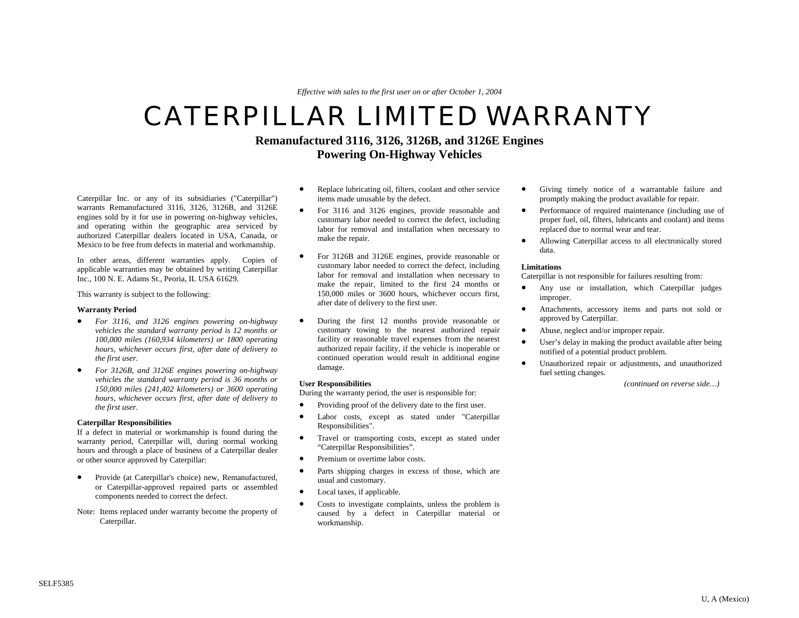*Effective with sales to the first user on or after October 1, 2004* 

# CATERPILLAR LIMITED WARRANTY

# **Remanufactured 3116, 3126, 3126B, and 3126E Engines Powering On-Highway Vehicles**

Caterpillar Inc. or any of its subsidiaries ("Caterpillar") warrants Remanufactured 3116, 3126, 3126B, and 3126E engines sold by it for use in powering on-highway vehicles, and operating within the geographic area serviced by authorized Caterpillar dealers located in USA, Canada, or Mexico to be free from defects in material and workmanship.

In other areas, different warranties apply. Copies of applicable warranties may be obtained by writing Caterpillar Inc., 100 N. E. Adams St., Peoria, IL USA 61629.

This warranty is subject to the following:

#### **Warranty Period**

- *For 3116, and 3126 engines powering on-highway vehicles the standard warranty period is 12 months or 100,000 miles (160,934 kilometers) or 1800 operating hours, whichever occurs first, after date of delivery to the first user.*
- *For 3126B, and 3126E engines powering on-highway vehicles the standard warranty period is 36 months or 150,000 miles (241,402 kilometers) or 3600 operating hours, whichever occurs first, after date of delivery to the first user.*

#### **Caterpillar Responsibilities**

If a defect in material or workmanship is found during the warranty period, Caterpillar will, during normal working hours and through a place of business of a Caterpillar dealer or other source approved by Caterpillar:

- Provide (at Caterpillar's choice) new, Remanufactured, or Caterpillar-approved repaired parts or assembled components needed to correct the defect.
- Note: Items replaced under warranty become the property of Caterpillar.
- Replace lubricating oil, filters, coolant and other service items made unusable by the defect.
- For 3116 and 3126 engines, provide reasonable and customary labor needed to correct the defect, including labor for removal and installation when necessary to make the repair.
- For 3126B and 3126E engines, provide reasonable or customary labor needed to correct the defect, including labor for removal and installation when necessary to make the repair, limited to the first 24 months or 150,000 miles or 3600 hours, whichever occurs first, after date of delivery to the first user.
- During the first 12 months provide reasonable or customary towing to the nearest authorized repair facility or reasonable travel expenses from the nearest authorized repair facility, if the vehicle is inoperable or continued operation would result in additional engine damage.

### **User Responsibilities**

During the warranty period*,* the user is responsible for:

- Providing proof of the delivery date to the first user.
- Labor costs, except as stated under "Caterpillar Responsibilities".
- Travel or transporting costs, except as stated under "Caterpillar Responsibilities".
- Premium or overtime labor costs.
- Parts shipping charges in excess of those, which are usual and customary.
- Local taxes, if applicable.
- Costs to investigate complaints, unless the problem is caused by a defect in Caterpillar material or workmanship.
- Giving timely notice of a warrantable failure and promptly making the product available for repair.
- Performance of required maintenance (including use of proper fuel, oil, filters, lubricants and coolant) and items replaced due to normal wear and tear.
- Allowing Caterpillar access to all electronically stored data.

### **Limitations**

Caterpillar is not responsible for failures resulting from:

- Any use or installation, which Caterpillar judges improper.
- Attachments, accessory items and parts not sold or approved by Caterpillar.
- Abuse, neglect and/or improper repair.
- User's delay in making the product available after being notified of a potential product problem.
- Unauthorized repair or adjustments, and unauthorized fuel setting changes.

*(continued on reverse side…)*